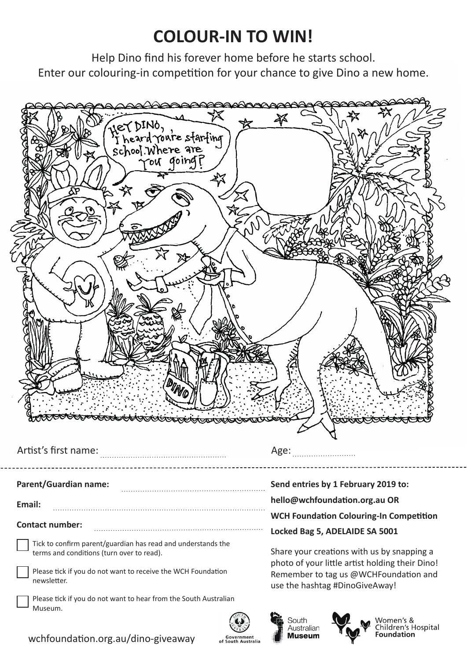## **COLOUR-IN TO WIN!**

Help Dino find his forever home before he starts school. Enter our colouring-in competition for your chance to give Dino a new home.









Women's 8 Children's Hospital **Foundation** 

wchfoundation.org.au/dino-giveaway